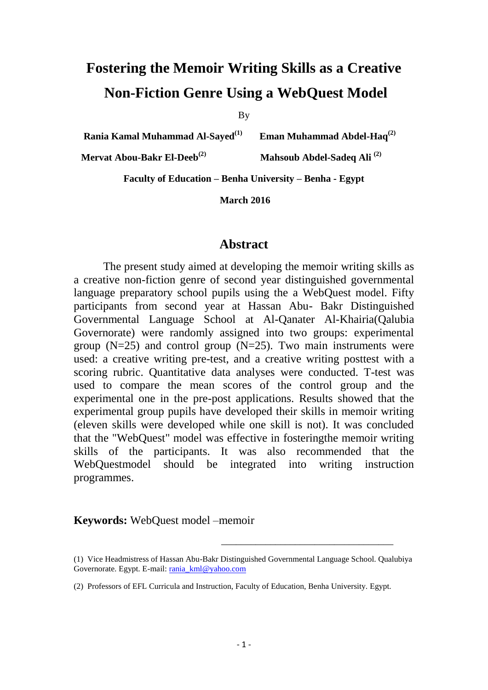# **Fostering the Memoir Writing Skills as a Creative Non-Fiction Genre Using a WebQuest Model**

By

**Rania Kamal Muhammad Al-Sayed(1) Eman Muhammad Abdel-Haq(2)**

**Mervat Abou-Bakr El-Deeb(2) Mahsoub Abdel-Sadeq Ali (2)**

**Faculty of Education – Benha University – Benha - Egypt**

**March 2016**

#### **Abstract**

The present study aimed at developing the memoir writing skills as a creative non-fiction genre of second year distinguished governmental language preparatory school pupils using the a WebQuest model. Fifty participants from second year at Hassan Abu- Bakr Distinguished Governmental Language School at Al-Qanater Al-Khairia(Qalubia Governorate) were randomly assigned into two groups: experimental group  $(N=25)$  and control group  $(N=25)$ . Two main instruments were used: a creative writing pre-test, and a creative writing posttest with a scoring rubric. Quantitative data analyses were conducted. T-test was used to compare the mean scores of the control group and the experimental one in the pre-post applications. Results showed that the experimental group pupils have developed their skills in memoir writing (eleven skills were developed while one skill is not). It was concluded that the "WebQuest" model was effective in fosteringthe memoir writing skills of the participants. It was also recommended that the WebQuestmodel should be integrated into writing instruction programmes.

**Keywords:** WebQuest model –memoir

\_\_\_\_\_\_\_\_\_\_\_\_\_\_\_\_\_\_\_\_\_\_\_\_\_\_\_\_\_\_\_\_\_\_\_

<sup>(1)</sup> Vice Headmistress of Hassan Abu-Bakr Distinguished Governmental Language School. Qualubiya Governorate. Egypt. E-mail: [rania\\_kml@yahoo.com](mailto:rania_kml@yahoo.com)

<sup>(2)</sup> Professors of EFL Curricula and Instruction, Faculty of Education, Benha University. Egypt.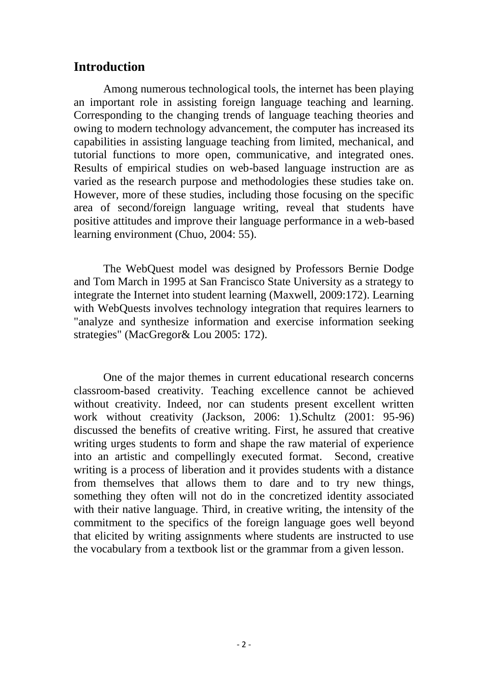# **Introduction**

Among numerous technological tools, the internet has been playing an important role in assisting foreign language teaching and learning. Corresponding to the changing trends of language teaching theories and owing to modern technology advancement, the computer has increased its capabilities in assisting language teaching from limited, mechanical, and tutorial functions to more open, communicative, and integrated ones. Results of empirical studies on web-based language instruction are as varied as the research purpose and methodologies these studies take on. However, more of these studies, including those focusing on the specific area of second/foreign language writing, reveal that students have positive attitudes and improve their language performance in a web-based learning environment (Chuo, 2004: 55).

The WebQuest model was designed by Professors Bernie Dodge and Tom March in 1995 at San Francisco State University as a strategy to integrate the Internet into student learning (Maxwell, 2009:172). Learning with WebQuests involves technology integration that requires learners to "analyze and synthesize information and exercise information seeking strategies" (MacGregor& Lou 2005: 172).

One of the major themes in current educational research concerns classroom-based creativity. Teaching excellence cannot be achieved without creativity. Indeed, nor can students present excellent written work without creativity (Jackson, 2006: 1).Schultz (2001: 95-96) discussed the benefits of creative writing. First, he assured that creative writing urges students to form and shape the raw material of experience into an artistic and compellingly executed format. Second, creative writing is a process of liberation and it provides students with a distance from themselves that allows them to dare and to try new things, something they often will not do in the concretized identity associated with their native language. Third, in creative writing, the intensity of the commitment to the specifics of the foreign language goes well beyond that elicited by writing assignments where students are instructed to use the vocabulary from a textbook list or the grammar from a given lesson.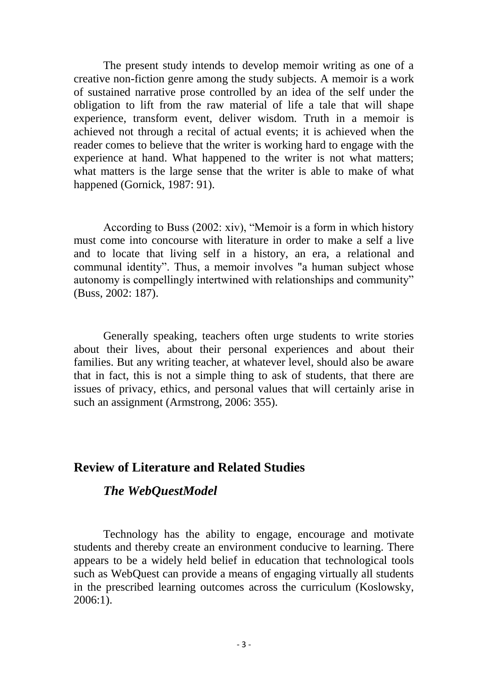The present study intends to develop memoir writing as one of a creative non-fiction genre among the study subjects. A memoir is a work of sustained narrative prose controlled by an idea of the self under the obligation to lift from the raw material of life a tale that will shape experience, transform event, deliver wisdom. Truth in a memoir is achieved not through a recital of actual events; it is achieved when the reader comes to believe that the writer is working hard to engage with the experience at hand. What happened to the writer is not what matters; what matters is the large sense that the writer is able to make of what happened (Gornick, 1987: 91).

According to Buss (2002: xiv), "Memoir is a form in which history must come into concourse with literature in order to make a self a live and to locate that living self in a history, an era, a relational and communal identity". Thus, a memoir involves "a human subject whose autonomy is compellingly intertwined with relationships and community" (Buss, 2002: 187).

Generally speaking, teachers often urge students to write stories about their lives, about their personal experiences and about their families. But any writing teacher, at whatever level, should also be aware that in fact, this is not a simple thing to ask of students, that there are issues of privacy, ethics, and personal values that will certainly arise in such an assignment (Armstrong, 2006: 355).

### **Review of Literature and Related Studies**

### *The WebQuestModel*

Technology has the ability to engage, encourage and motivate students and thereby create an environment conducive to learning. There appears to be a widely held belief in education that technological tools such as WebQuest can provide a means of engaging virtually all students in the prescribed learning outcomes across the curriculum (Koslowsky, 2006:1).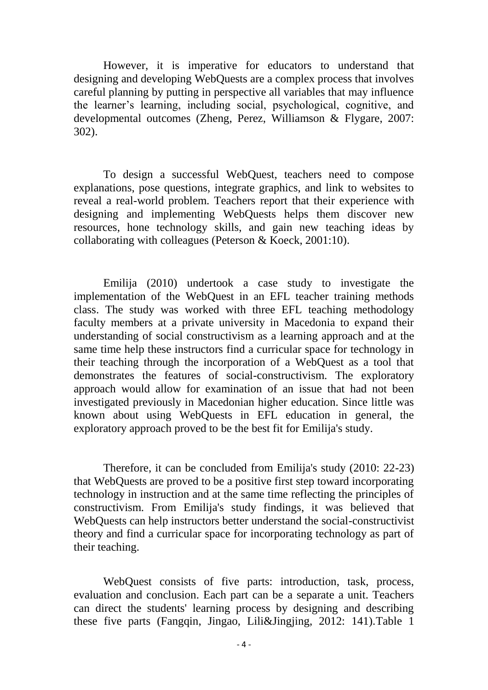However, it is imperative for educators to understand that designing and developing WebQuests are a complex process that involves careful planning by putting in perspective all variables that may influence the learner's learning, including social, psychological, cognitive, and developmental outcomes (Zheng, Perez, Williamson & Flygare, 2007: 302).

To design a successful WebQuest, teachers need to compose explanations, pose questions, integrate graphics, and link to websites to reveal a real-world problem. Teachers report that their experience with designing and implementing WebQuests helps them discover new resources, hone technology skills, and gain new teaching ideas by collaborating with colleagues (Peterson & Koeck, 2001:10).

Emilija (2010) undertook a case study to investigate the implementation of the WebQuest in an EFL teacher training methods class. The study was worked with three EFL teaching methodology faculty members at a private university in Macedonia to expand their understanding of social constructivism as a learning approach and at the same time help these instructors find a curricular space for technology in their teaching through the incorporation of a WebQuest as a tool that demonstrates the features of social-constructivism. The exploratory approach would allow for examination of an issue that had not been investigated previously in Macedonian higher education. Since little was known about using WebQuests in EFL education in general, the exploratory approach proved to be the best fit for Emilija's study.

Therefore, it can be concluded from Emilija's study (2010: 22-23) that WebQuests are proved to be a positive first step toward incorporating technology in instruction and at the same time reflecting the principles of constructivism. From Emilija's study findings, it was believed that WebQuests can help instructors better understand the social-constructivist theory and find a curricular space for incorporating technology as part of their teaching.

WebQuest consists of five parts: introduction, task, process, evaluation and conclusion. Each part can be a separate a unit. Teachers can direct the students' learning process by designing and describing these five parts (Fangqin, Jingao, Lili&Jingjing, 2012: 141).Table 1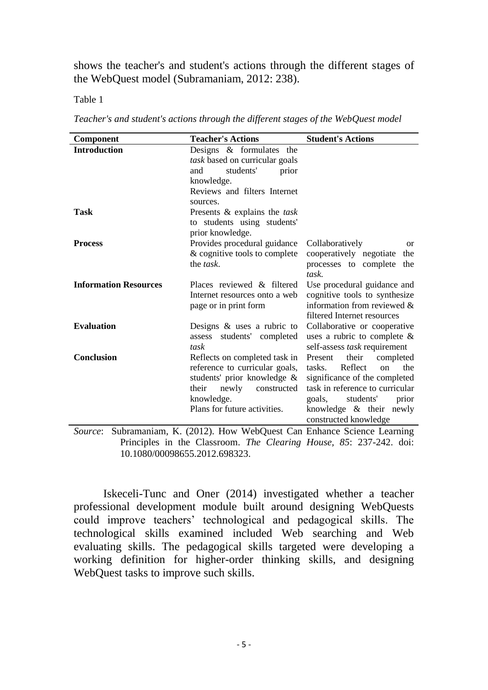shows the teacher's and student's actions through the different stages of the WebQuest model (Subramaniam, 2012: 238).

Table 1

*Teacher's and student's actions through the different stages of the WebQuest model*

| <b>Component</b>             | <b>Teacher's Actions</b>                                                   | <b>Student's Actions</b>                  |  |  |  |  |  |
|------------------------------|----------------------------------------------------------------------------|-------------------------------------------|--|--|--|--|--|
| <b>Introduction</b>          | Designs & formulates the                                                   |                                           |  |  |  |  |  |
|                              | task based on curricular goals                                             |                                           |  |  |  |  |  |
|                              | students'<br>prior<br>and                                                  |                                           |  |  |  |  |  |
|                              | knowledge.                                                                 |                                           |  |  |  |  |  |
|                              | Reviews and filters Internet                                               |                                           |  |  |  |  |  |
|                              | sources.                                                                   |                                           |  |  |  |  |  |
| Task                         | Presents & explains the task                                               |                                           |  |  |  |  |  |
|                              | to students using students'                                                |                                           |  |  |  |  |  |
|                              | prior knowledge.                                                           |                                           |  |  |  |  |  |
| <b>Process</b>               | Provides procedural guidance                                               | Collaboratively<br><sub>or</sub>          |  |  |  |  |  |
|                              | & cognitive tools to complete                                              | cooperatively negotiate<br>the            |  |  |  |  |  |
|                              | the <i>task</i> .                                                          | processes to complete<br>the              |  |  |  |  |  |
|                              |                                                                            | task.                                     |  |  |  |  |  |
| <b>Information Resources</b> | Places reviewed & filtered                                                 | Use procedural guidance and               |  |  |  |  |  |
|                              | Internet resources onto a web                                              | cognitive tools to synthesize             |  |  |  |  |  |
|                              | page or in print form                                                      | information from reviewed &               |  |  |  |  |  |
|                              |                                                                            | filtered Internet resources               |  |  |  |  |  |
| <b>Evaluation</b>            | Designs $\&$ uses a rubric to                                              | Collaborative or cooperative              |  |  |  |  |  |
|                              | students' completed<br>assess                                              | uses a rubric to complete $\&$            |  |  |  |  |  |
|                              | task                                                                       | self-assess task requirement              |  |  |  |  |  |
| <b>Conclusion</b>            | Reflects on completed task in                                              | their<br>Present<br>completed             |  |  |  |  |  |
|                              | reference to curricular goals,                                             | Reflect<br>the<br>tasks.<br><sub>on</sub> |  |  |  |  |  |
|                              | students' prior knowledge &                                                | significance of the completed             |  |  |  |  |  |
|                              | their<br>newly<br>constructed                                              | task in reference to curricular           |  |  |  |  |  |
|                              | knowledge.                                                                 | students'<br>goals,<br>prior              |  |  |  |  |  |
|                              | Plans for future activities.                                               | knowledge $\&$ their newly                |  |  |  |  |  |
|                              |                                                                            | constructed knowledge                     |  |  |  |  |  |
|                              | $Sourga: Subramaniam K (2012) H_{OW} WahOwat Can Enhance Saignee Learning$ |                                           |  |  |  |  |  |

*Source*: Subramaniam, K. (2012). How WebQuest Can Enhance Science Learning Principles in the Classroom. *The Clearing House, 85*: 237-242. doi: 10.1080/00098655.2012.698323.

Iskeceli-Tunc and Oner (2014) investigated whether a teacher professional development module built around designing WebQuests could improve teachers' technological and pedagogical skills. The technological skills examined included Web searching and Web evaluating skills. The pedagogical skills targeted were developing a working definition for higher-order thinking skills, and designing WebQuest tasks to improve such skills.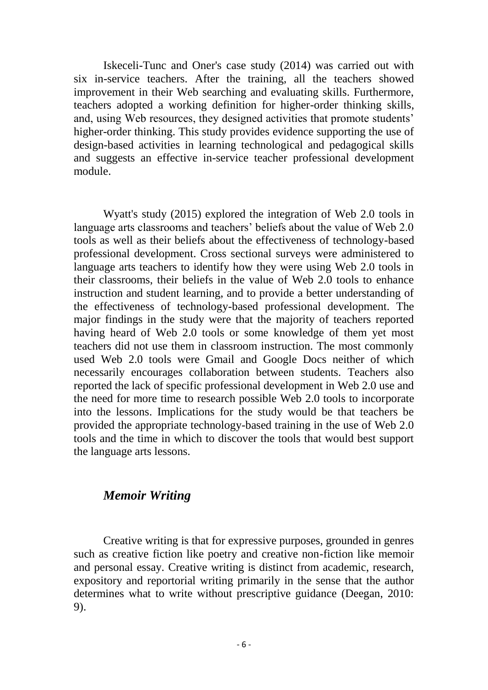Iskeceli-Tunc and Oner's case study (2014) was carried out with six in-service teachers. After the training, all the teachers showed improvement in their Web searching and evaluating skills. Furthermore, teachers adopted a working definition for higher-order thinking skills, and, using Web resources, they designed activities that promote students' higher-order thinking. This study provides evidence supporting the use of design-based activities in learning technological and pedagogical skills and suggests an effective in-service teacher professional development module.

Wyatt's study (2015) explored the integration of Web 2.0 tools in language arts classrooms and teachers' beliefs about the value of Web 2.0 tools as well as their beliefs about the effectiveness of technology-based professional development. Cross sectional surveys were administered to language arts teachers to identify how they were using Web 2.0 tools in their classrooms, their beliefs in the value of Web 2.0 tools to enhance instruction and student learning, and to provide a better understanding of the effectiveness of technology-based professional development. The major findings in the study were that the majority of teachers reported having heard of Web 2.0 tools or some knowledge of them yet most teachers did not use them in classroom instruction. The most commonly used Web 2.0 tools were Gmail and Google Docs neither of which necessarily encourages collaboration between students. Teachers also reported the lack of specific professional development in Web 2.0 use and the need for more time to research possible Web 2.0 tools to incorporate into the lessons. Implications for the study would be that teachers be provided the appropriate technology-based training in the use of Web 2.0 tools and the time in which to discover the tools that would best support the language arts lessons.

### *Memoir Writing*

Creative writing is that for expressive purposes, grounded in genres such as creative fiction like poetry and creative non-fiction like memoir and personal essay. Creative writing is distinct from academic, research, expository and reportorial writing primarily in the sense that the author determines what to write without prescriptive guidance (Deegan, 2010: 9).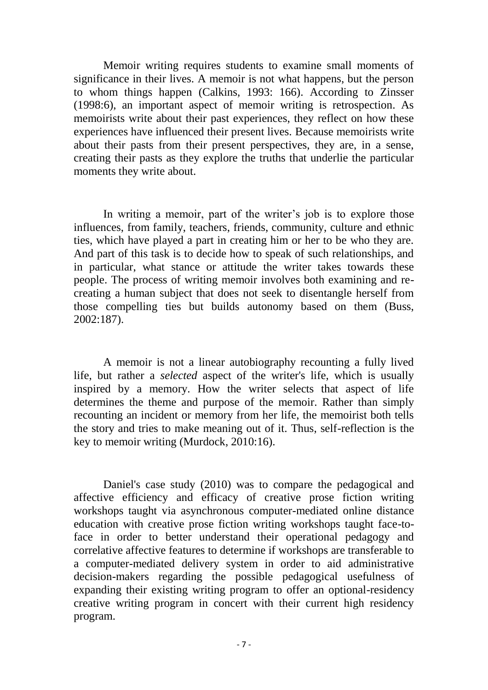Memoir writing requires students to examine small moments of significance in their lives. A memoir is not what happens, but the person to whom things happen (Calkins, 1993: 166). According to Zinsser (1998:6), an important aspect of memoir writing is retrospection. As memoirists write about their past experiences, they reflect on how these experiences have influenced their present lives. Because memoirists write about their pasts from their present perspectives, they are, in a sense, creating their pasts as they explore the truths that underlie the particular moments they write about.

In writing a memoir, part of the writer's job is to explore those influences, from family, teachers, friends, community, culture and ethnic ties, which have played a part in creating him or her to be who they are. And part of this task is to decide how to speak of such relationships, and in particular, what stance or attitude the writer takes towards these people. The process of writing memoir involves both examining and recreating a human subject that does not seek to disentangle herself from those compelling ties but builds autonomy based on them (Buss, 2002:187).

A memoir is not a linear autobiography recounting a fully lived life, but rather a *selected* aspect of the writer's life, which is usually inspired by a memory. How the writer selects that aspect of life determines the theme and purpose of the memoir. Rather than simply recounting an incident or memory from her life, the memoirist both tells the story and tries to make meaning out of it. Thus, self-reflection is the key to memoir writing (Murdock, 2010:16).

Daniel's case study (2010) was to compare the pedagogical and affective efficiency and efficacy of creative prose fiction writing workshops taught via asynchronous computer-mediated online distance education with creative prose fiction writing workshops taught face-toface in order to better understand their operational pedagogy and correlative affective features to determine if workshops are transferable to a computer-mediated delivery system in order to aid administrative decision-makers regarding the possible pedagogical usefulness of expanding their existing writing program to offer an optional-residency creative writing program in concert with their current high residency program.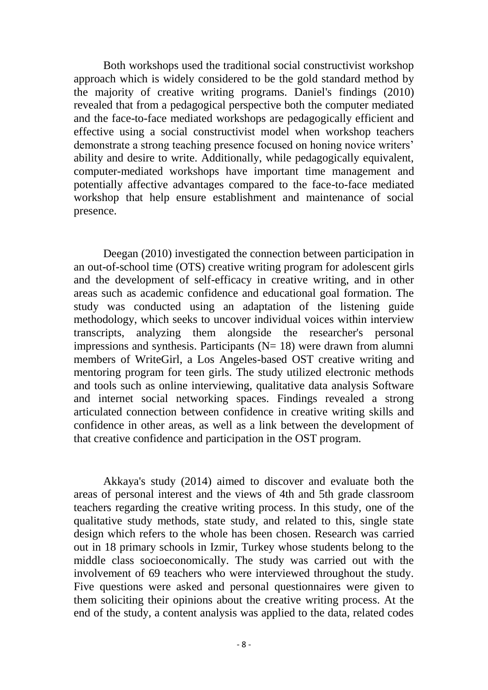Both workshops used the traditional social constructivist workshop approach which is widely considered to be the gold standard method by the majority of creative writing programs. Daniel's findings (2010) revealed that from a pedagogical perspective both the computer mediated and the face-to-face mediated workshops are pedagogically efficient and effective using a social constructivist model when workshop teachers demonstrate a strong teaching presence focused on honing novice writers' ability and desire to write. Additionally, while pedagogically equivalent, computer-mediated workshops have important time management and potentially affective advantages compared to the face-to-face mediated workshop that help ensure establishment and maintenance of social presence.

Deegan (2010) investigated the connection between participation in an out-of-school time (OTS) creative writing program for adolescent girls and the development of self-efficacy in creative writing, and in other areas such as academic confidence and educational goal formation. The study was conducted using an adaptation of the listening guide methodology, which seeks to uncover individual voices within interview transcripts, analyzing them alongside the researcher's personal impressions and synthesis. Participants  $(N= 18)$  were drawn from alumni members of WriteGirl, a Los Angeles-based OST creative writing and mentoring program for teen girls. The study utilized electronic methods and tools such as online interviewing, qualitative data analysis Software and internet social networking spaces. Findings revealed a strong articulated connection between confidence in creative writing skills and confidence in other areas, as well as a link between the development of that creative confidence and participation in the OST program.

Akkaya's study (2014) aimed to discover and evaluate both the areas of personal interest and the views of 4th and 5th grade classroom teachers regarding the creative writing process. In this study, one of the qualitative study methods, state study, and related to this, single state design which refers to the whole has been chosen. Research was carried out in 18 primary schools in Izmir, Turkey whose students belong to the middle class socioeconomically. The study was carried out with the involvement of 69 teachers who were interviewed throughout the study. Five questions were asked and personal questionnaires were given to them soliciting their opinions about the creative writing process. At the end of the study, a content analysis was applied to the data, related codes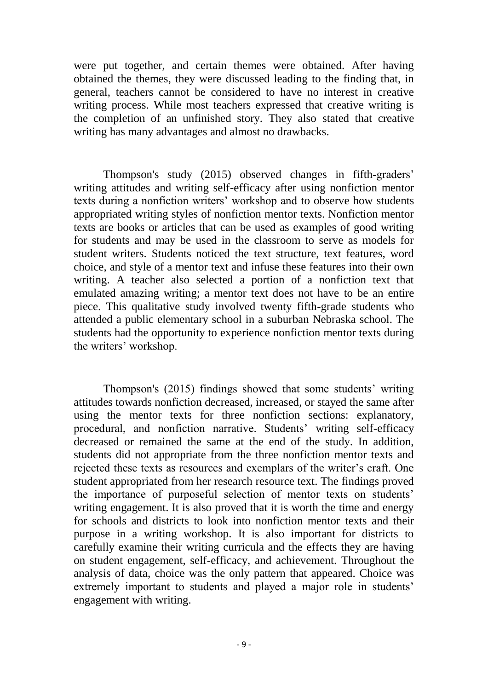were put together, and certain themes were obtained. After having obtained the themes, they were discussed leading to the finding that, in general, teachers cannot be considered to have no interest in creative writing process. While most teachers expressed that creative writing is the completion of an unfinished story. They also stated that creative writing has many advantages and almost no drawbacks.

Thompson's study (2015) observed changes in fifth-graders' writing attitudes and writing self-efficacy after using nonfiction mentor texts during a nonfiction writers' workshop and to observe how students appropriated writing styles of nonfiction mentor texts. Nonfiction mentor texts are books or articles that can be used as examples of good writing for students and may be used in the classroom to serve as models for student writers. Students noticed the text structure, text features, word choice, and style of a mentor text and infuse these features into their own writing. A teacher also selected a portion of a nonfiction text that emulated amazing writing; a mentor text does not have to be an entire piece. This qualitative study involved twenty fifth-grade students who attended a public elementary school in a suburban Nebraska school. The students had the opportunity to experience nonfiction mentor texts during the writers' workshop.

Thompson's (2015) findings showed that some students' writing attitudes towards nonfiction decreased, increased, or stayed the same after using the mentor texts for three nonfiction sections: explanatory, procedural, and nonfiction narrative. Students' writing self-efficacy decreased or remained the same at the end of the study. In addition, students did not appropriate from the three nonfiction mentor texts and rejected these texts as resources and exemplars of the writer's craft. One student appropriated from her research resource text. The findings proved the importance of purposeful selection of mentor texts on students' writing engagement. It is also proved that it is worth the time and energy for schools and districts to look into nonfiction mentor texts and their purpose in a writing workshop. It is also important for districts to carefully examine their writing curricula and the effects they are having on student engagement, self-efficacy, and achievement. Throughout the analysis of data, choice was the only pattern that appeared. Choice was extremely important to students and played a major role in students' engagement with writing.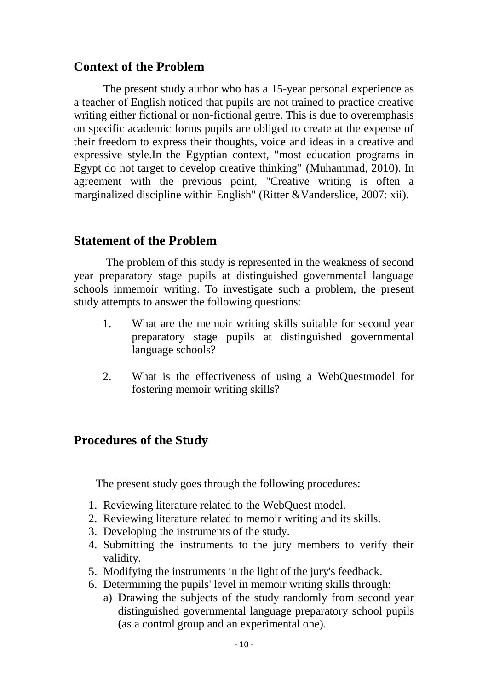# **Context of the Problem**

The present study author who has a 15-year personal experience as a teacher of English noticed that pupils are not trained to practice creative writing either fictional or non-fictional genre. This is due to overemphasis on specific academic forms pupils are obliged to create at the expense of their freedom to express their thoughts, voice and ideas in a creative and expressive style.In the Egyptian context, "most education programs in Egypt do not target to develop creative thinking" (Muhammad, 2010). In agreement with the previous point, "Creative writing is often a marginalized discipline within English" (Ritter &Vanderslice, 2007: xii).

# **Statement of the Problem**

The problem of this study is represented in the weakness of second year preparatory stage pupils at distinguished governmental language schools inmemoir writing. To investigate such a problem, the present study attempts to answer the following questions:

- 1. What are the memoir writing skills suitable for second year preparatory stage pupils at distinguished governmental language schools?
- 2. What is the effectiveness of using a WebQuestmodel for fostering memoir writing skills?

# **Procedures of the Study**

The present study goes through the following procedures:

- 1. Reviewing literature related to the WebQuest model.
- 2. Reviewing literature related to memoir writing and its skills.
- 3. Developing the instruments of the study.
- 4. Submitting the instruments to the jury members to verify their validity.
- 5. Modifying the instruments in the light of the jury's feedback.
- 6. Determining the pupils' level in memoir writing skills through:
	- a) Drawing the subjects of the study randomly from second year distinguished governmental language preparatory school pupils (as a control group and an experimental one).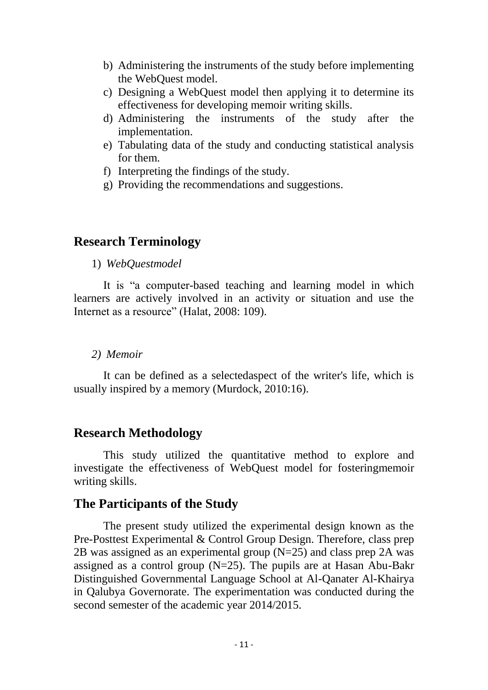- b) Administering the instruments of the study before implementing the WebQuest model.
- c) Designing a WebQuest model then applying it to determine its effectiveness for developing memoir writing skills.
- d) Administering the instruments of the study after the implementation.
- e) Tabulating data of the study and conducting statistical analysis for them.
- f) Interpreting the findings of the study.
- g) Providing the recommendations and suggestions.

# **Research Terminology**

1) *WebQuestmodel*

It is "a computer-based teaching and learning model in which learners are actively involved in an activity or situation and use the Internet as a resource" (Halat, 2008: 109).

### *2) Memoir*

It can be defined as a selectedaspect of the writer's life, which is usually inspired by a memory (Murdock, 2010:16).

# **Research Methodology**

This study utilized the quantitative method to explore and investigate the effectiveness of WebQuest model for fosteringmemoir writing skills.

# **The Participants of the Study**

The present study utilized the experimental design known as the Pre-Posttest Experimental & Control Group Design. Therefore, class prep 2B was assigned as an experimental group  $(N=25)$  and class prep 2A was assigned as a control group (N=25). The pupils are at Hasan Abu-Bakr Distinguished Governmental Language School at Al-Qanater Al-Khairya in Qalubya Governorate. The experimentation was conducted during the second semester of the academic year 2014/2015.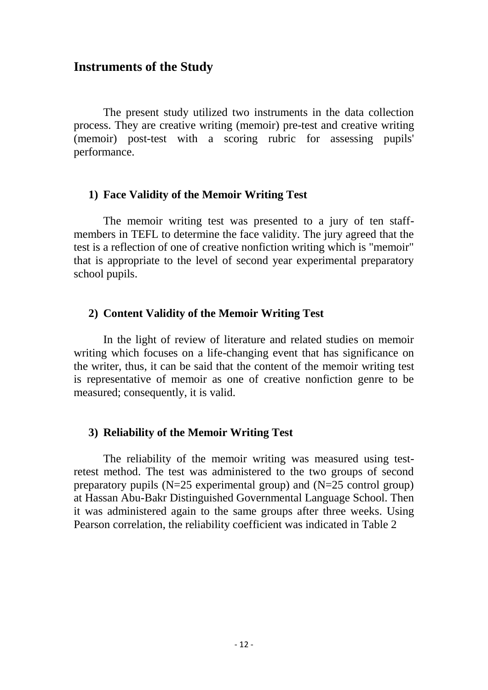# **Instruments of the Study**

The present study utilized two instruments in the data collection process. They are creative writing (memoir) pre-test and creative writing (memoir) post-test with a scoring rubric for assessing pupils' performance.

### **1) Face Validity of the Memoir Writing Test**

The memoir writing test was presented to a jury of ten staffmembers in TEFL to determine the face validity. The jury agreed that the test is a reflection of one of creative nonfiction writing which is "memoir" that is appropriate to the level of second year experimental preparatory school pupils.

### **2) Content Validity of the Memoir Writing Test**

In the light of review of literature and related studies on memoir writing which focuses on a life-changing event that has significance on the writer, thus, it can be said that the content of the memoir writing test is representative of memoir as one of creative nonfiction genre to be measured; consequently, it is valid.

### **3) Reliability of the Memoir Writing Test**

The reliability of the memoir writing was measured using testretest method. The test was administered to the two groups of second preparatory pupils (N=25 experimental group) and (N=25 control group) at Hassan Abu-Bakr Distinguished Governmental Language School. Then it was administered again to the same groups after three weeks. Using Pearson correlation, the reliability coefficient was indicated in Table 2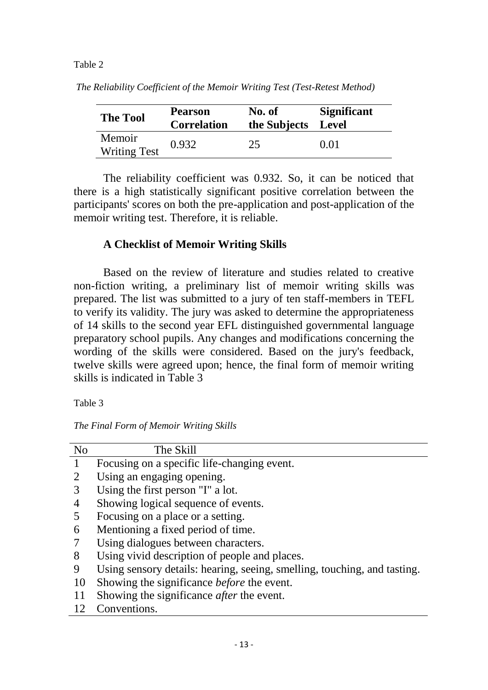#### Table 2

| <b>The Tool</b>               | <b>Pearson</b><br><b>Correlation</b> | No. of<br>the Subjects Level | <b>Significant</b> |  |  |
|-------------------------------|--------------------------------------|------------------------------|--------------------|--|--|
| Memoir<br><b>Writing Test</b> | 0.932                                | 25                           | 0.01               |  |  |

*The Reliability Coefficient of the Memoir Writing Test (Test-Retest Method)*

The reliability coefficient was 0.932. So, it can be noticed that there is a high statistically significant positive correlation between the participants' scores on both the pre-application and post-application of the memoir writing test. Therefore, it is reliable.

# **A Checklist of Memoir Writing Skills**

Based on the review of literature and studies related to creative non-fiction writing, a preliminary list of memoir writing skills was prepared. The list was submitted to a jury of ten staff-members in TEFL to verify its validity. The jury was asked to determine the appropriateness of 14 skills to the second year EFL distinguished governmental language preparatory school pupils. Any changes and modifications concerning the wording of the skills were considered. Based on the jury's feedback, twelve skills were agreed upon; hence, the final form of memoir writing skills is indicated in Table 3

Table 3

*The Final Form of Memoir Writing Skills* 

| N <sub>o</sub> | The Skill                                                                |
|----------------|--------------------------------------------------------------------------|
|                | Focusing on a specific life-changing event.                              |
|                | Using an engaging opening.                                               |
| 3              | Using the first person "I" a lot.                                        |
| 4              | Showing logical sequence of events.                                      |
| 5              | Focusing on a place or a setting.                                        |
| 6              | Mentioning a fixed period of time.                                       |
|                | Using dialogues between characters.                                      |
| 8              | Using vivid description of people and places.                            |
| 9              | Using sensory details: hearing, seeing, smelling, touching, and tasting. |
| 10             | Showing the significance <i>before</i> the event.                        |
|                | Showing the significance <i>after</i> the event.                         |
|                | Conventions.                                                             |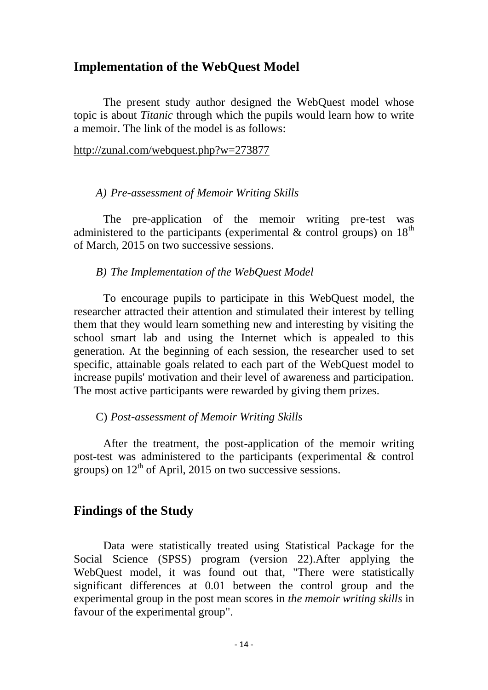# **Implementation of the WebQuest Model**

The present study author designed the WebQuest model whose topic is about *Titanic* through which the pupils would learn how to write a memoir. The link of the model is as follows:

#### <http://zunal.com/webquest.php?w=273877>

#### *A) Pre-assessment of Memoir Writing Skills*

The pre-application of the memoir writing pre-test was administered to the participants (experimental  $\&$  control groups) on 18<sup>th</sup> of March, 2015 on two successive sessions.

### *B) The Implementation of the WebQuest Model*

To encourage pupils to participate in this WebQuest model, the researcher attracted their attention and stimulated their interest by telling them that they would learn something new and interesting by visiting the school smart lab and using the Internet which is appealed to this generation. At the beginning of each session, the researcher used to set specific, attainable goals related to each part of the WebQuest model to increase pupils' motivation and their level of awareness and participation. The most active participants were rewarded by giving them prizes.

#### C) *Post-assessment of Memoir Writing Skills*

After the treatment, the post-application of the memoir writing post-test was administered to the participants (experimental & control groups) on  $12<sup>th</sup>$  of April, 2015 on two successive sessions.

# **Findings of the Study**

Data were statistically treated using Statistical Package for the Social Science (SPSS) program (version 22).After applying the WebQuest model, it was found out that, "There were statistically significant differences at 0.01 between the control group and the experimental group in the post mean scores in *the memoir writing skills* in favour of the experimental group".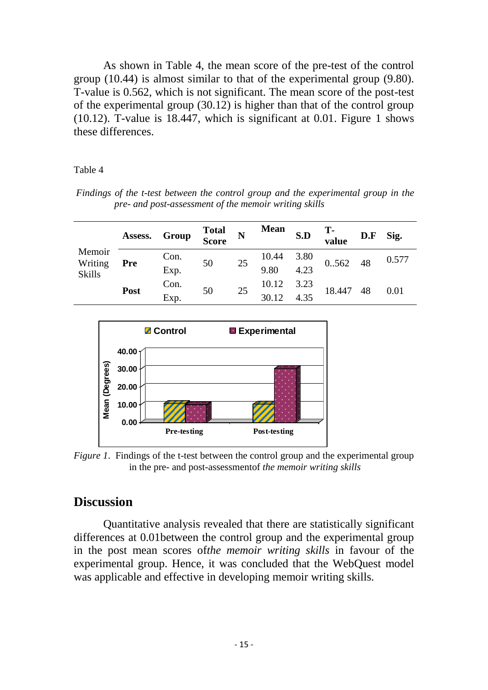As shown in Table 4, the mean score of the pre-test of the control group (10.44) is almost similar to that of the experimental group (9.80). T-value is 0.562, which is not significant. The mean score of the post-test of the experimental group (30.12) is higher than that of the control group (10.12). T-value is 18.447, which is significant at 0.01. Figure 1 shows these differences.

#### Table 4

*Findings of the t-test between the control group and the experimental group in the pre- and post-assessment of the memoir writing skills*

| Memoir<br>Writing<br><b>Skills</b><br>Post | Assess. Group |      | <b>Total</b><br>Score | N  | <b>Mean</b> | S.D              | T-<br>value | D.F | Sig.  |
|--------------------------------------------|---------------|------|-----------------------|----|-------------|------------------|-------------|-----|-------|
|                                            | <b>Pre</b>    | Con. | 50                    | 25 | 10.44       | $3.80$<br>$4.23$ | 0.562 48    |     | 0.577 |
|                                            |               | Exp. |                       |    | 9.80        |                  |             |     |       |
|                                            |               | Con. | 50                    | 25 | 10.12       | 3.23             | 18.447      | 48  | 0.01  |
|                                            |               | Exp. |                       |    | 30.12       | 4.35             |             |     |       |



*Figure 1.* Findings of the t-test between the control group and the experimental group in the pre- and post-assessmentof *the memoir writing skills*

# **Discussion**

Quantitative analysis revealed that there are statistically significant differences at 0.01between the control group and the experimental group in the post mean scores of*the memoir writing skills* in favour of the experimental group. Hence, it was concluded that the WebQuest model was applicable and effective in developing memoir writing skills.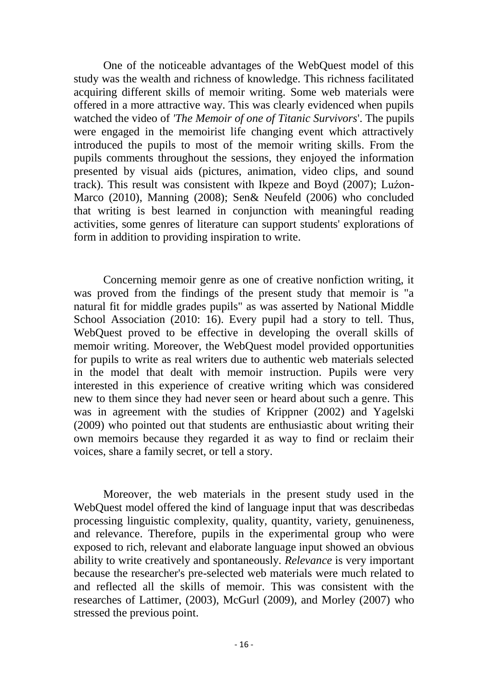One of the noticeable advantages of the WebQuest model of this study was the wealth and richness of knowledge. This richness facilitated acquiring different skills of memoir writing. Some web materials were offered in a more attractive way. This was clearly evidenced when pupils watched the video of *'The Memoir of one of Titanic Survivors*'. The pupils were engaged in the memoirist life changing event which attractively introduced the pupils to most of the memoir writing skills. From the pupils comments throughout the sessions, they enjoyed the information presented by visual aids (pictures, animation, video clips, and sound track). This result was consistent with Ikpeze and Boyd (2007); Luźon-Marco (2010), Manning (2008); Sen& Neufeld (2006) who concluded that writing is best learned in conjunction with meaningful reading activities, some genres of literature can support students' explorations of form in addition to providing inspiration to write.

Concerning memoir genre as one of creative nonfiction writing, it was proved from the findings of the present study that memoir is "a natural fit for middle grades pupils" as was asserted by National Middle School Association (2010: 16). Every pupil had a story to tell. Thus, WebQuest proved to be effective in developing the overall skills of memoir writing. Moreover, the WebQuest model provided opportunities for pupils to write as real writers due to authentic web materials selected in the model that dealt with memoir instruction. Pupils were very interested in this experience of creative writing which was considered new to them since they had never seen or heard about such a genre. This was in agreement with the studies of Krippner (2002) and Yagelski (2009) who pointed out that students are enthusiastic about writing their own memoirs because they regarded it as way to find or reclaim their voices, share a family secret, or tell a story.

Moreover, the web materials in the present study used in the WebQuest model offered the kind of language input that was describedas processing linguistic complexity, quality, quantity, variety, genuineness, and relevance. Therefore, pupils in the experimental group who were exposed to rich, relevant and elaborate language input showed an obvious ability to write creatively and spontaneously. *Relevance* is very important because the researcher's pre-selected web materials were much related to and reflected all the skills of memoir. This was consistent with the researches of Lattimer, (2003), McGurl (2009), and Morley (2007) who stressed the previous point.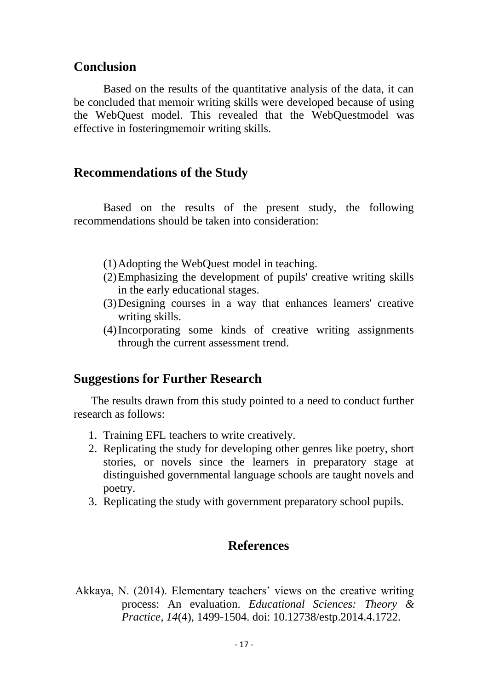### **Conclusion**

Based on the results of the quantitative analysis of the data, it can be concluded that memoir writing skills were developed because of using the WebQuest model. This revealed that the WebQuestmodel was effective in fosteringmemoir writing skills.

### **Recommendations of the Study**

Based on the results of the present study, the following recommendations should be taken into consideration:

- (1)Adopting the WebQuest model in teaching.
- (2)Emphasizing the development of pupils' creative writing skills in the early educational stages.
- (3)Designing courses in a way that enhances learners' creative writing skills.
- (4)Incorporating some kinds of creative writing assignments through the current assessment trend.

### **Suggestions for Further Research**

The results drawn from this study pointed to a need to conduct further research as follows:

- 1. Training EFL teachers to write creatively.
- 2. Replicating the study for developing other genres like poetry, short stories, or novels since the learners in preparatory stage at distinguished governmental language schools are taught novels and poetry.
- 3. Replicating the study with government preparatory school pupils.

# **References**

Akkaya, N. (2014). Elementary teachers' views on the creative writing process: An evaluation. *Educational Sciences: Theory & Practice, 14*(4), 1499-1504. doi: 10.12738/estp.2014.4.1722.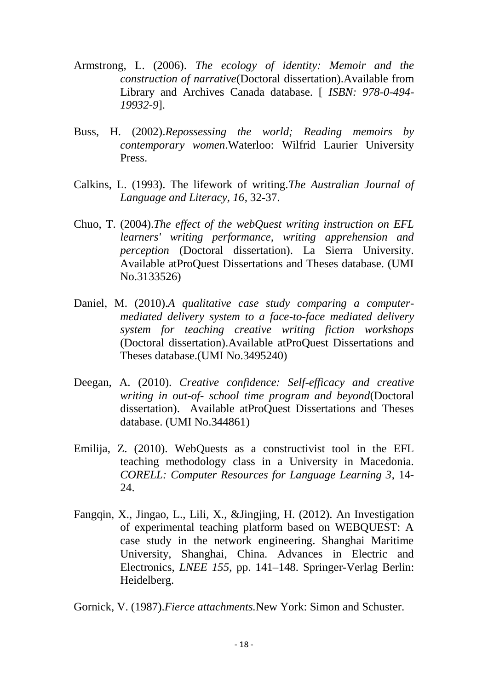- Armstrong, L. (2006). *The ecology of identity: Memoir and the construction of narrative*(Doctoral dissertation).Available from Library and Archives Canada database. [ *ISBN: 978-0-494- 19932-9*].
- Buss, H. (2002).*Repossessing the world; Reading memoirs by contemporary women*.Waterloo: Wilfrid Laurier University Press.
- Calkins, L. (1993). The lifework of writing.*The Australian Journal of Language and Literacy, 16*, 32-37.
- Chuo, T. (2004).*The effect of the webQuest writing instruction on EFL learners' writing performance, writing apprehension and perception* (Doctoral dissertation). La Sierra University. Available atProQuest Dissertations and Theses database. (UMI No.3133526)
- Daniel, M. (2010).*A qualitative case study comparing a computermediated delivery system to a face-to-face mediated delivery system for teaching creative writing fiction workshops* (Doctoral dissertation).Available atProQuest Dissertations and Theses database.(UMI No.3495240)
- Deegan, A. (2010). *Creative confidence: Self-efficacy and creative writing in out-of- school time program and beyond*(Doctoral dissertation). Available atProQuest Dissertations and Theses database. (UMI No.344861)
- Emilija, Z. (2010). WebQuests as a constructivist tool in the EFL teaching methodology class in a University in Macedonia. *CORELL: Computer Resources for Language Learning 3*, 14- 24.
- Fangqin, X., Jingao, L., Lili, X., &Jingjing, H. (2012). An Investigation of experimental teaching platform based on WEBQUEST: A case study in the network engineering. Shanghai Maritime University, Shanghai, China. Advances in Electric and Electronics, *LNEE 155*, pp. 141–148. Springer-Verlag Berlin: Heidelberg.

Gornick, V. (1987).*Fierce attachments.*New York: Simon and Schuster.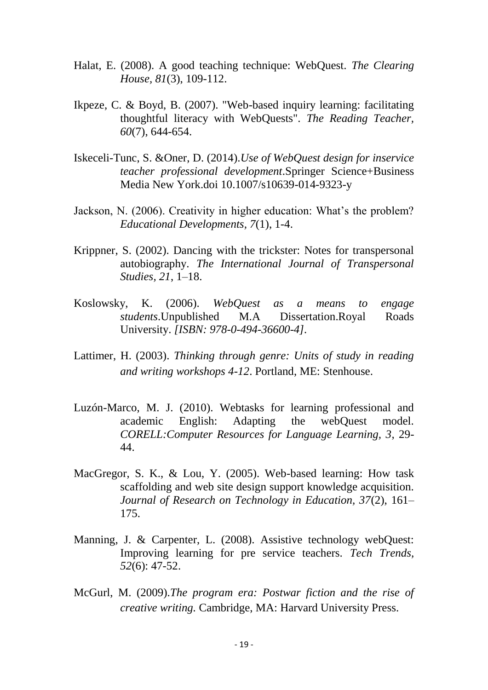- Halat, E. (2008). A good teaching technique: WebQuest. *The Clearing House, 81*(3), 109-112.
- Ikpeze, C. & Boyd, B. (2007). "Web-based inquiry learning: facilitating thoughtful literacy with WebQuests". *The Reading Teacher, 60*(7), 644-654.
- Iskeceli-Tunc, S. &Oner, D. (2014).*Use of WebQuest design for inservice teacher professional development*.Springer Science+Business Media New York.doi 10.1007/s10639-014-9323-y
- Jackson, N. (2006). Creativity in higher education: What's the problem? *Educational Developments, 7*(1), 1-4.
- Krippner, S. (2002). Dancing with the trickster: Notes for transpersonal autobiography. *The International Journal of Transpersonal Studies, 21*, 1–18.
- Koslowsky, K. (2006). *WebQuest as a means to engage students*.Unpublished M.A Dissertation.Royal Roads University. *[ISBN: 978-0-494-36600-4].*
- Lattimer, H. (2003). *Thinking through genre: Units of study in reading and writing workshops 4-12*. Portland, ME: Stenhouse.
- Luzón-Marco, M. J. (2010). Webtasks for learning professional and academic English: Adapting the webQuest model. *CORELL:Computer Resources for Language Learning, 3*, 29- 44.
- MacGregor, S. K., & Lou, Y. (2005). Web-based learning: How task scaffolding and web site design support knowledge acquisition. *Journal of Research on Technology in Education, 37*(2), 161– 175.
- Manning, J. & Carpenter, L. (2008). Assistive technology webQuest: Improving learning for pre service teachers. *Tech Trends, 52*(6): 47-52.
- McGurl, M. (2009).*The program era: Postwar fiction and the rise of creative writing.* Cambridge, MA: Harvard University Press.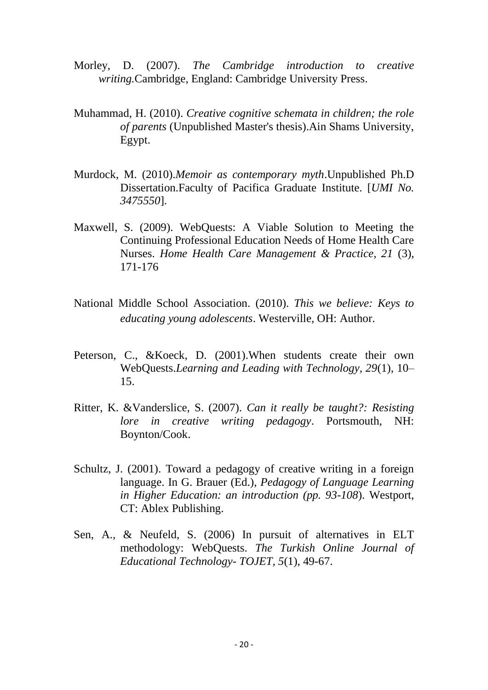- Morley, D. (2007). *The Cambridge introduction to creative writing.*Cambridge, England: Cambridge University Press.
- Muhammad, H. (2010). *Creative cognitive schemata in children; the role of parents* (Unpublished Master's thesis).Ain Shams University, Egypt.
- Murdock, M. (2010).*Memoir as contemporary myth*.Unpublished Ph.D Dissertation.Faculty of Pacifica Graduate Institute. [*UMI No. 3475550*].
- Maxwell, S. (2009). WebQuests: A Viable Solution to Meeting the Continuing Professional Education Needs of Home Health Care Nurses. *Home Health Care Management & Practice, 21* (3), 171-176
- National Middle School Association. (2010). *This we believe: Keys to educating young adolescents*. Westerville, OH: Author.
- Peterson, C., &Koeck, D. (2001). When students create their own WebQuests.*Learning and Leading with Technology, 29*(1), 10– 15.
- Ritter, K. &Vanderslice, S. (2007). *Can it really be taught?: Resisting lore in creative writing pedagogy*. Portsmouth, NH: Boynton/Cook.
- Schultz, J. (2001). Toward a pedagogy of creative writing in a foreign language. In G. Brauer (Ed.), *Pedagogy of Language Learning in Higher Education: an introduction (pp. 93-108*). Westport, CT: Ablex Publishing.
- Sen, A., & Neufeld, S. (2006) In pursuit of alternatives in ELT methodology: WebQuests. *The Turkish Online Journal of Educational Technology- TOJET, 5*(1), 49-67.